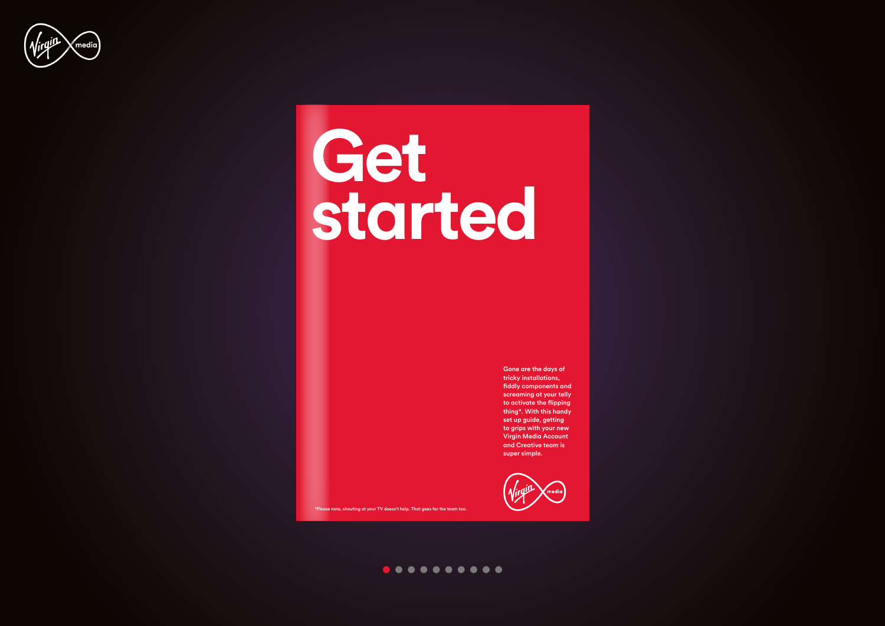

# **Get started**

Gone are the days of tricky installations, fiddly components and screaming at your telly to activate the flipping thing\*. With this handy set up guide, getting to grips with your new Virgin Media Account and Creative team is super simple.



\*Please note, shouting at your TV doesn't help. That goes for the team too.

#### $0 0 0 0 0 0 0 0 0 0 0 0$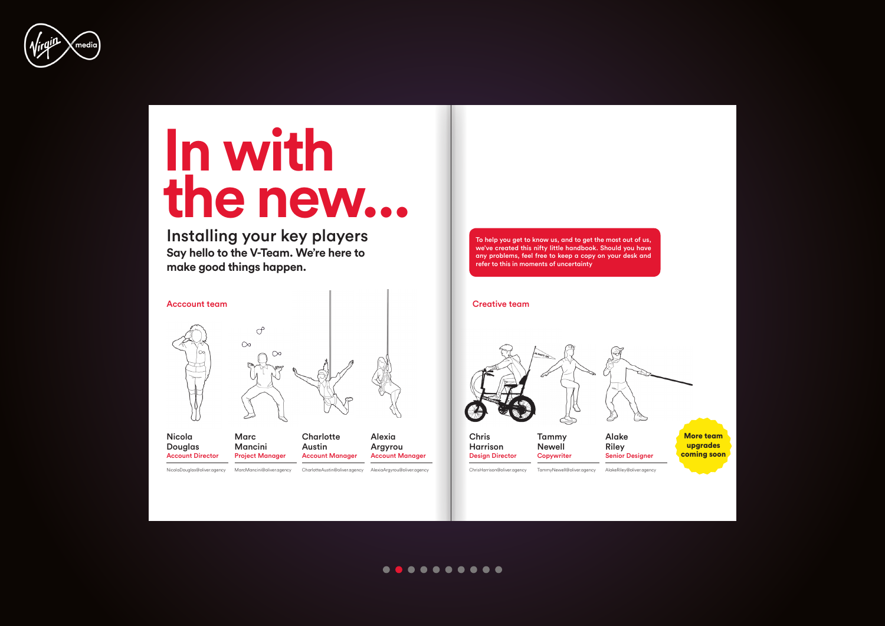

## **In with the new...**

Installing your key players **Say hello to the V-Team. We're here to make good things happen.** 



Chris Harrison [Design Director](mailto:ChrisHarrison%40oliver.agency%0A?subject=)



| Nicola<br><b>Douglas</b><br><b>Account Director</b> | <b>Marc</b><br>Mancini<br><b>Project Manager</b> | Charlotte<br>Austin<br><b>Account Manager</b> | Alexia<br>Argyro<br>Account |
|-----------------------------------------------------|--------------------------------------------------|-----------------------------------------------|-----------------------------|
|                                                     |                                                  |                                               |                             |

Alexia Argyrou Manager

AlexiaArgyrou@oliver.agency

ChrisHarrison@oliver.agency [TammyNewell@oliver.agency](mailto:TammyNewell%40oliver.agency%0A?subject=) AlakeRiley@oliver.agency

Tammy Newell **Copywriter** 



Alake Riley

#### $0.00000000000$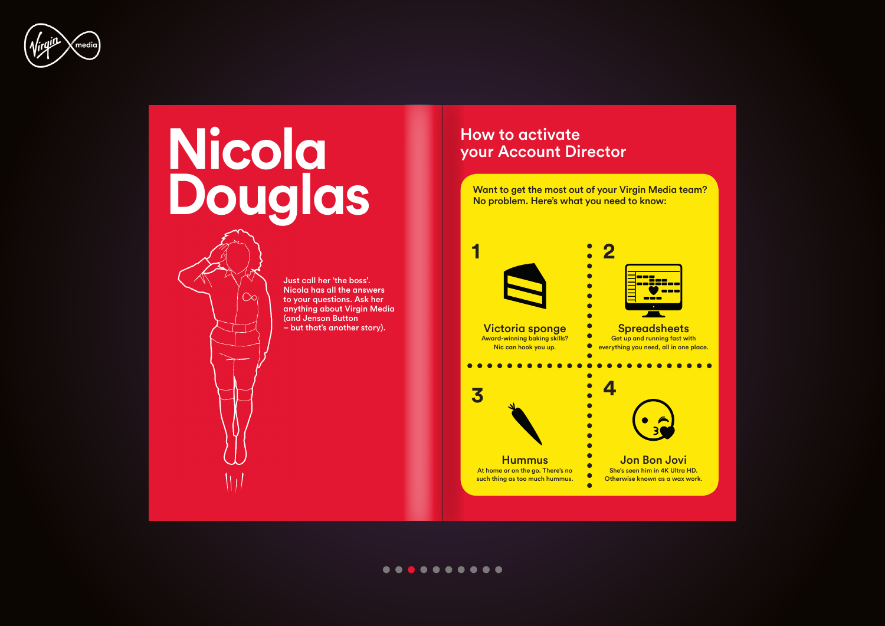

## **Nicola Douglas**

∩ni

Just call her 'the boss'. Nicola has all the answers to your questions. Ask her anything about Virgin Media (and Jenson Button<br>- but that's another story).

### How to activate your Account Director



#### . . . . . . . . . .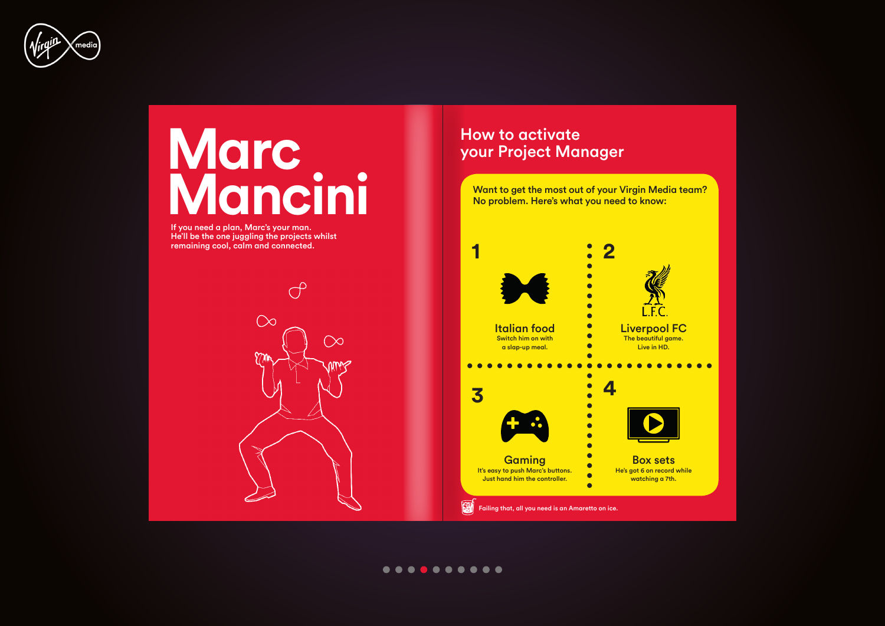

## **Marc Mancini**

If you need a plan, Marc's your man. He'll be the one juggling the projects whilst remaining cool, calm and connected.



### How to activate your Project Manager

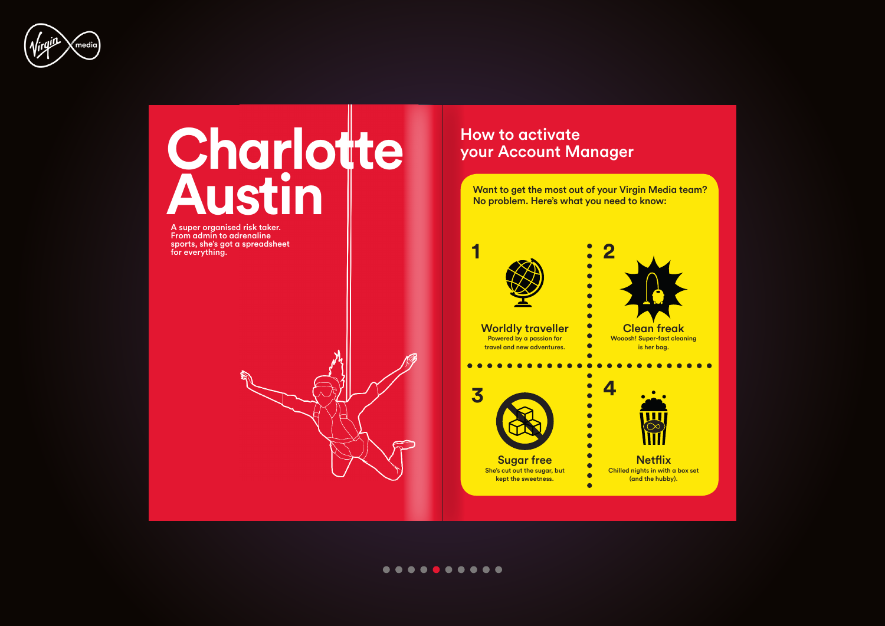



### How to activate your Account Manager

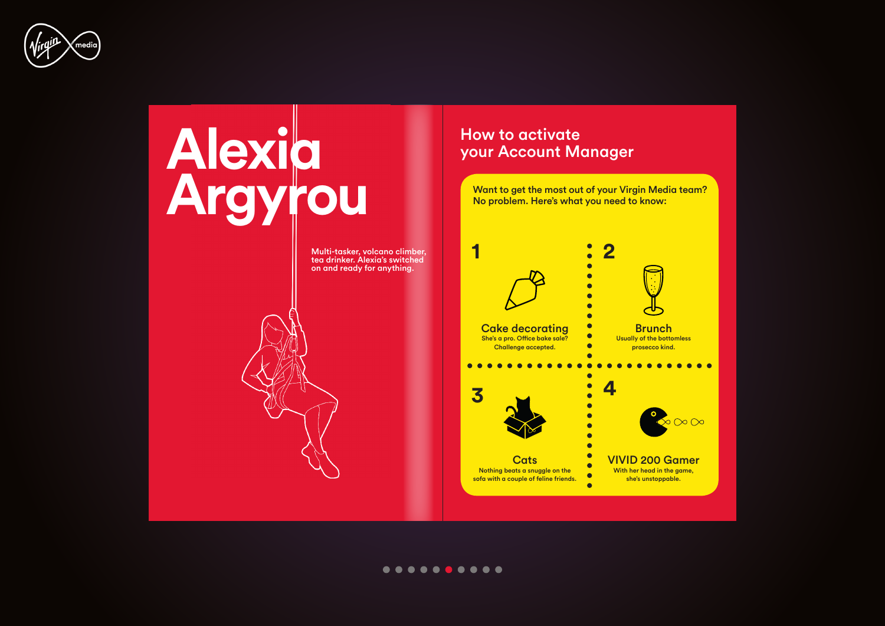



#### . . . . . . . . . .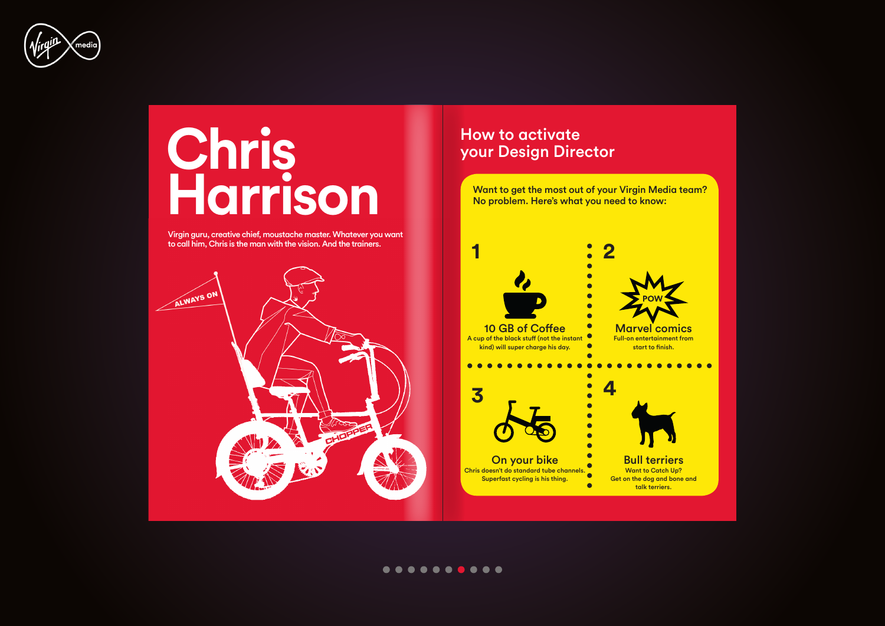

## **Chris Harrison**

Virgin guru, creative chief, moustache master. Whatever you want to call him, Chris is the man with the vision. And the trainers.



### How to activate your Design Director



#### . . . . . . . . . .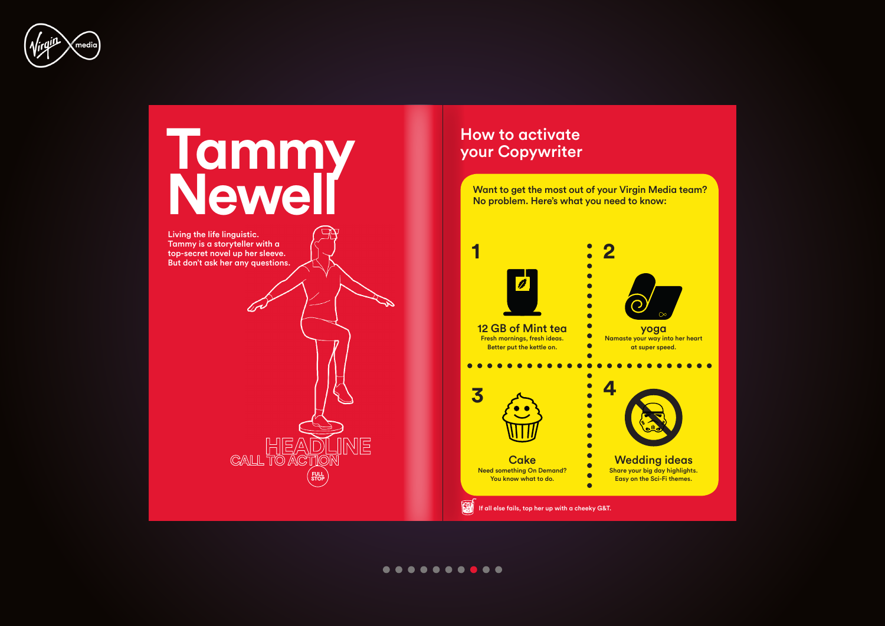



 $HER$ 

CALL TO ACT

**JINE** 

Living the life linguistic. Tammy is a storyteller with a top-secret novel up her sleeve. But don't ask her any questions.

### How to activate your Copywriter



####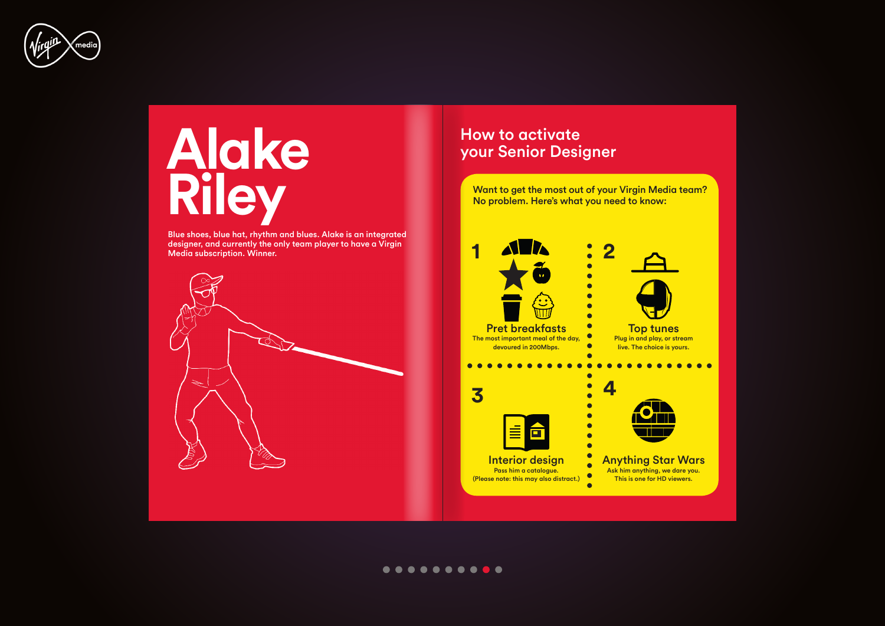

## **Alake Riley**

Blue shoes, blue hat, rhythm and blues. Alake is an integrated designer, and currently the only team player to have a Virgin Media subscription. Winner.



## How to activate your Senior Designer